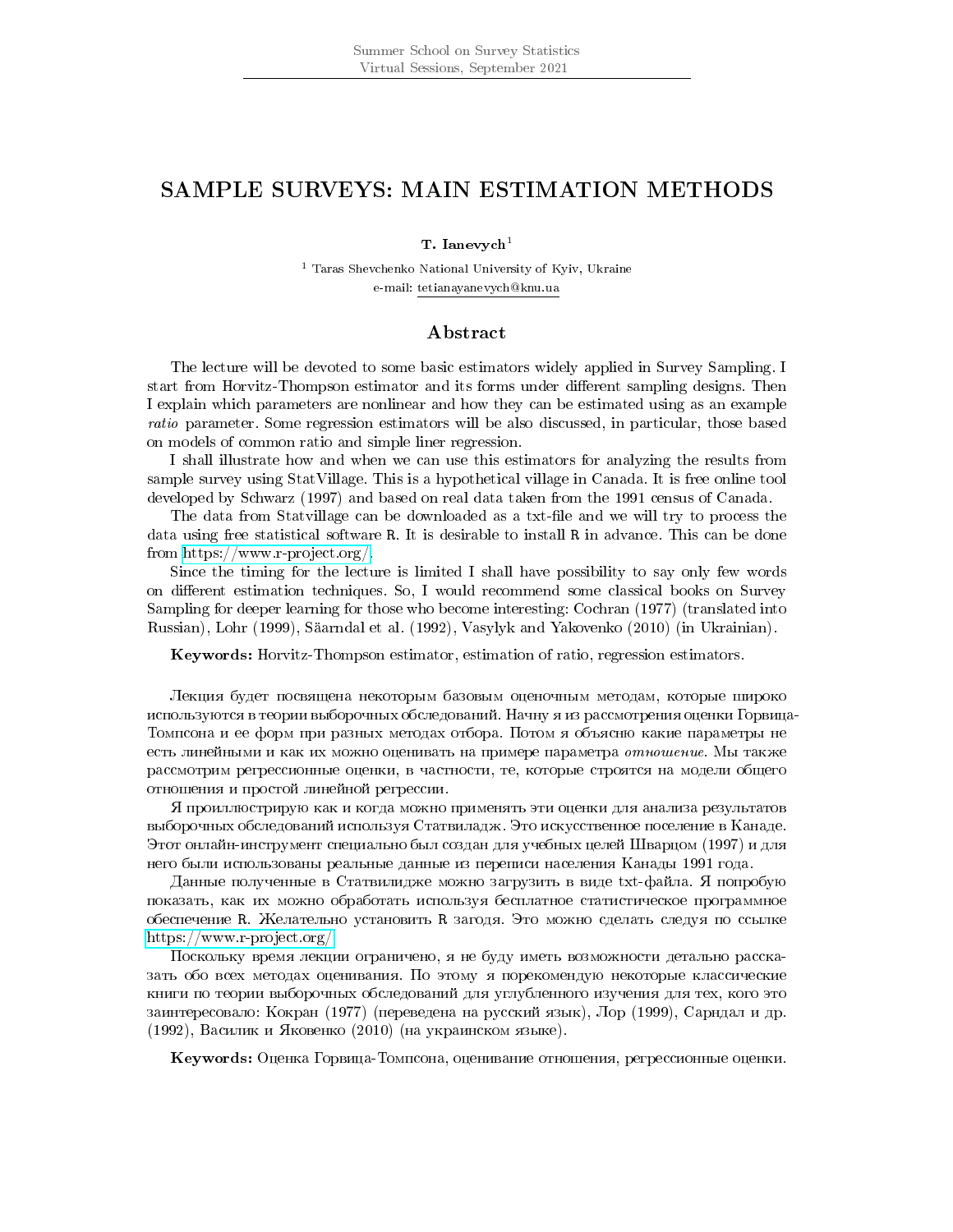## SAMPLE SURVEYS: MAIN ESTIMATION METHODS

T. Ianevych $1$ 

<sup>1</sup> Taras Shevchenko National University of Kyiv, Ukraine e-mail: tetianayanevych@knu.ua

## Abstract

The lecture will be devoted to some basic estimators widely applied in Survey Sampling. I start from Horvitz-Thompson estimator and its forms under different sampling designs. Then I explain which parameters are nonlinear and how they can be estimated using as an example ratio parameter. Some regression estimators will be also discussed, in particular, those based on models of common ratio and simple liner regression.

I shall illustrate how and when we can use this estimators for analyzing the results from sample survey using StatVillage. This is a hypothetical village in Canada. It is free online tool developed by Schwarz (1997) and based on real data taken from the 1991 census of Canada.

The data from Statvillage can be downloaded as a txt-file and we will try to process the data using free statistical software R. It is desirable to install R in advance. This can be done from [https://www.r-project.org/.](https://www.r-project.org/)

Since the timing for the lecture is limited I shall have possibility to say only few words on different estimation techniques. So, I would recommend some classical books on Survey Sampling for deeper learning for those who become interesting: Cochran (1977) (translated into Russian), Lohr (1999), Saarndal et al. (1992), Vasylyk and Yakovenko (2010) (in Ukrainian).

Keywords: Horvitz-Thompson estimator, estimation of ratio, regression estimators.

Лекция будет посвящена некоторым базовым оценочным методам, которые широко используются в теории выборочных обследований. Начну я из рассмотрения оценки Горвица-Томпсона и ее форм при разных методах отбора. Потом я объясню какие параметры не есть линейными и как их можно оценивать на примере параметра отношение. Мы также рассмотрим регрессионные оценки, в частности, те, которые строятся на модели общего отношения и простой линейной регрессии.

 $\rm{Z}$  проиллюстрирую как и когда можно применять эти оценки для анализа результатов выборочных обследований используя Статвиладж. Это искусственное поселение в Канаде. Этот онлайн-инструмент специально был создан для учебных целей Шварцом (1997) и для него были использованы реальные данные из переписи населения Канады 1991 года.

Данные полученные в Статвилидже можно загрузить в виде txt-файла. Я попробую показать, как их можно обработать используя бесплатное статистическое программное обеспечение R. Желательно установить R загодя. Это можно сделать следуя по ссылке [https://www.r-project.org/.](https://www.r-project.org/)

Поскольку время лекции ограничено, я не буду иметь возможности детально рассказать обо всех методах оценивания. По этому я порекомендую некоторые классические книги по теории выборочных обследований для углубленного изучения для тех, кого это заинтересовало: Кокран (1977) (переведена на русский язык), Лор (1999), Сарндал и др. (1992), Василик и Яковенко (2010) (на украинском языке).

Keywords: Оценка Горвица-Томпсона, оценивание отношения, регрессионные оценки.